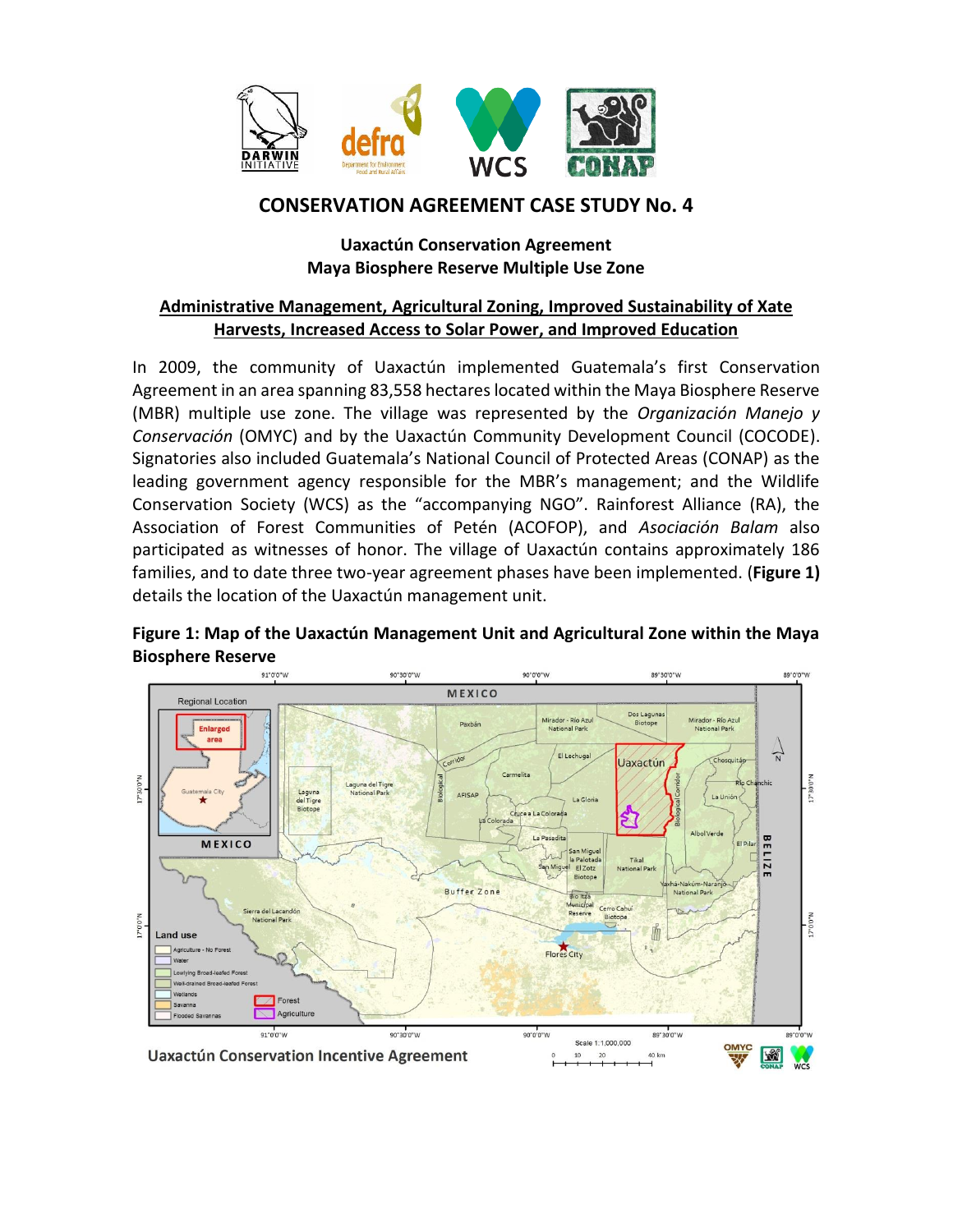

# **CONSERVATION AGREEMENT CASE STUDY No. 4**

## **Uaxactún Conservation Agreement Maya Biosphere Reserve Multiple Use Zone**

### **Administrative Management, Agricultural Zoning, Improved Sustainability of Xate Harvests, Increased Access to Solar Power, and Improved Education**

In 2009, the community of Uaxactún implemented Guatemala's first Conservation Agreement in an area spanning 83,558 hectares located within the Maya Biosphere Reserve (MBR) multiple use zone. The village was represented by the *Organización Manejo y Conservación* (OMYC) and by the Uaxactún Community Development Council (COCODE). Signatories also included Guatemala's National Council of Protected Areas (CONAP) as the leading government agency responsible for the MBR's management; and the Wildlife Conservation Society (WCS) as the "accompanying NGO". Rainforest Alliance (RA), the Association of Forest Communities of Petén (ACOFOP), and *Asociación Balam* also participated as witnesses of honor. The village of Uaxactún contains approximately 186 families, and to date three two-year agreement phases have been implemented. (**Figure 1)** details the location of the Uaxactún management unit.



## **Figure 1: Map of the Uaxactún Management Unit and Agricultural Zone within the Maya Biosphere Reserve**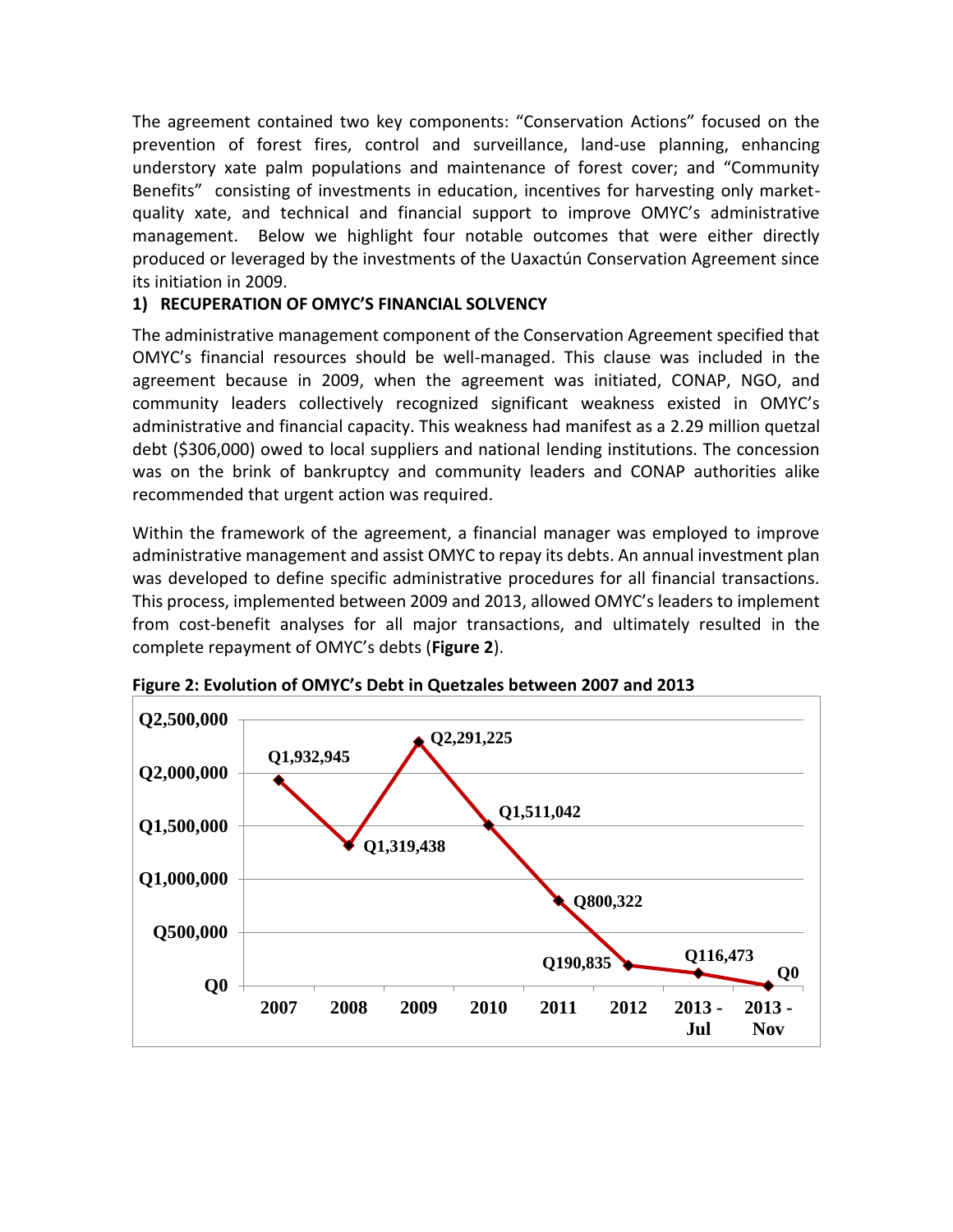The agreement contained two key components: "Conservation Actions" focused on the prevention of forest fires, control and surveillance, land-use planning, enhancing understory xate palm populations and maintenance of forest cover; and "Community Benefits" consisting of investments in education, incentives for harvesting only marketquality xate, and technical and financial support to improve OMYC's administrative management. Below we highlight four notable outcomes that were either directly produced or leveraged by the investments of the Uaxactún Conservation Agreement since its initiation in 2009.

## **1) RECUPERATION OF OMYC'S FINANCIAL SOLVENCY**

The administrative management component of the Conservation Agreement specified that OMYC's financial resources should be well-managed. This clause was included in the agreement because in 2009, when the agreement was initiated, CONAP, NGO, and community leaders collectively recognized significant weakness existed in OMYC's administrative and financial capacity. This weakness had manifest as a 2.29 million quetzal debt (\$306,000) owed to local suppliers and national lending institutions. The concession was on the brink of bankruptcy and community leaders and CONAP authorities alike recommended that urgent action was required.

Within the framework of the agreement, a financial manager was employed to improve administrative management and assist OMYC to repay its debts. An annual investment plan was developed to define specific administrative procedures for all financial transactions. This process, implemented between 2009 and 2013, allowed OMYC's leaders to implement from cost-benefit analyses for all major transactions, and ultimately resulted in the complete repayment of OMYC's debts (**Figure 2**).



**Figure 2: Evolution of OMYC's Debt in Quetzales between 2007 and 2013**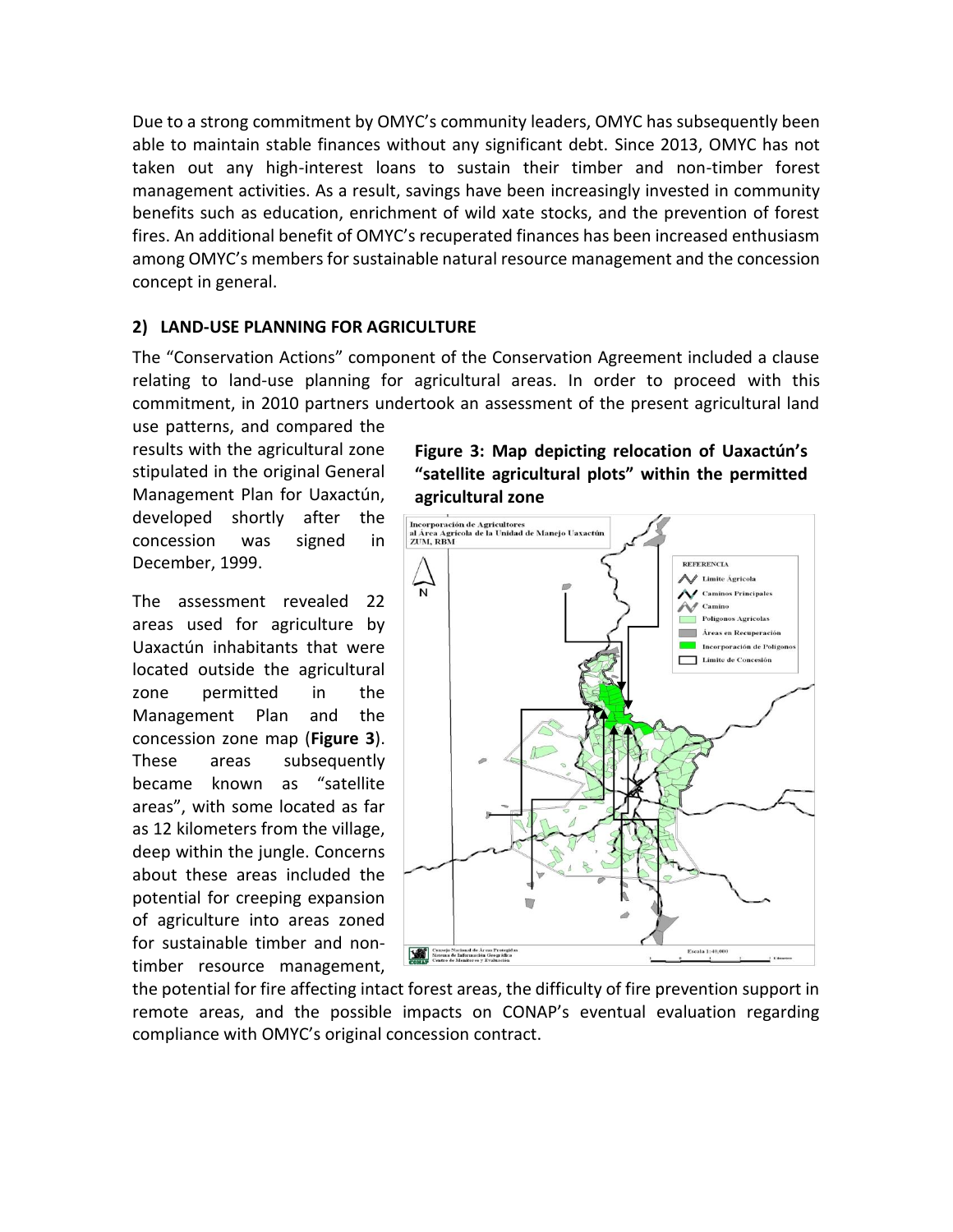Due to a strong commitment by OMYC's community leaders, OMYC has subsequently been able to maintain stable finances without any significant debt. Since 2013, OMYC has not taken out any high-interest loans to sustain their timber and non-timber forest management activities. As a result, savings have been increasingly invested in community benefits such as education, enrichment of wild xate stocks, and the prevention of forest fires. An additional benefit of OMYC's recuperated finances has been increased enthusiasm among OMYC's members for sustainable natural resource management and the concession concept in general.

#### **2) LAND-USE PLANNING FOR AGRICULTURE**

The "Conservation Actions" component of the Conservation Agreement included a clause relating to land-use planning for agricultural areas. In order to proceed with this commitment, in 2010 partners undertook an assessment of the present agricultural land

use patterns, and compared the results with the agricultural zone stipulated in the original General Management Plan for Uaxactún, developed shortly after the concession was signed in December, 1999.

The assessment revealed 22 areas used for agriculture by Uaxactún inhabitants that were located outside the agricultural zone permitted in the Management Plan and the concession zone map (**Figure 3**). These areas subsequently became known as "satellite areas", with some located as far as 12 kilometers from the village, deep within the jungle. Concerns about these areas included the potential for creeping expansion of agriculture into areas zoned for sustainable timber and nontimber resource management,

**Figure 3: Map depicting relocation of Uaxactún's "satellite agricultural plots" within the permitted agricultural zone**



the potential for fire affecting intact forest areas, the difficulty of fire prevention support in remote areas, and the possible impacts on CONAP's eventual evaluation regarding compliance with OMYC's original concession contract.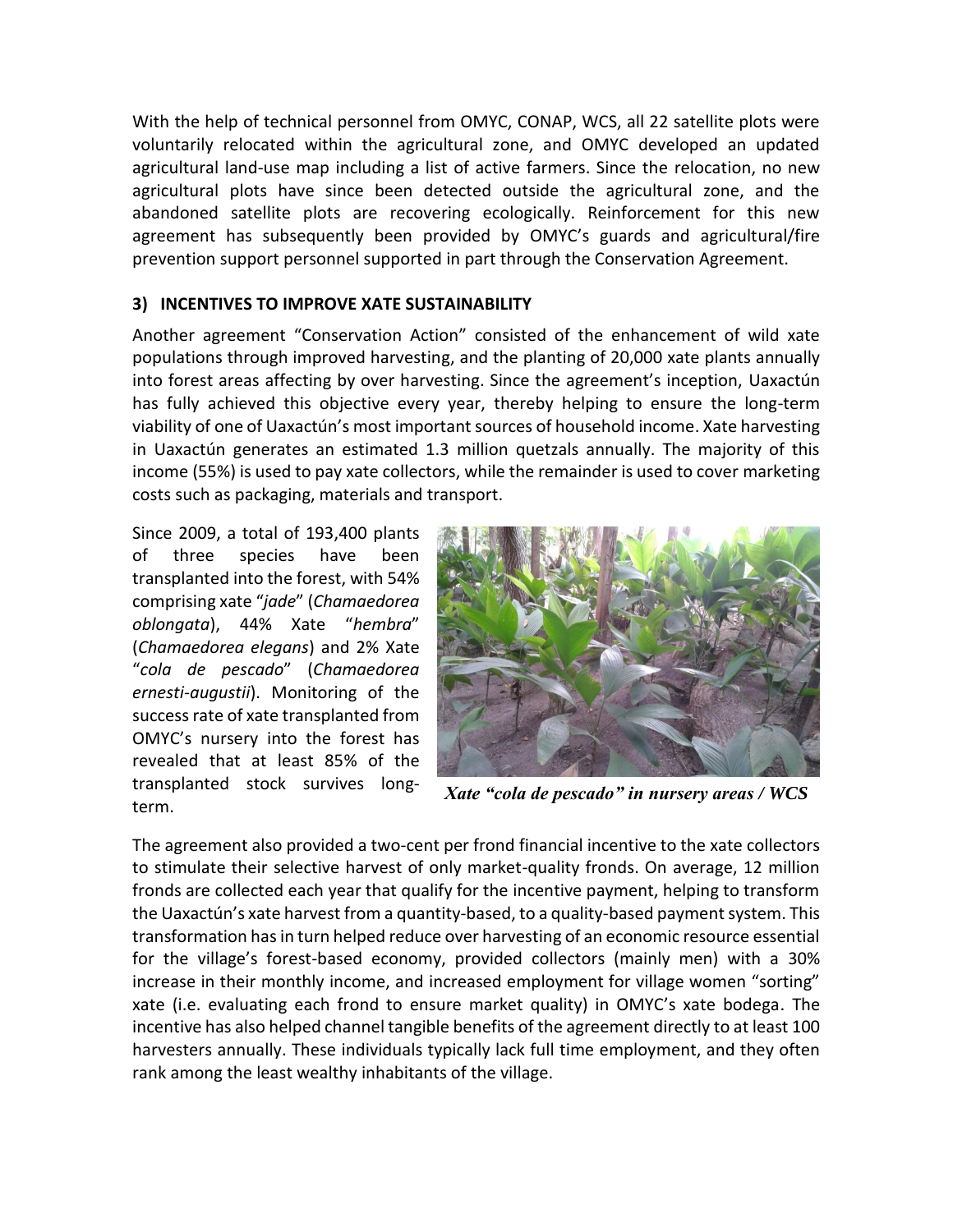With the help of technical personnel from OMYC, CONAP, WCS, all 22 satellite plots were voluntarily relocated within the agricultural zone, and OMYC developed an updated agricultural land-use map including a list of active farmers. Since the relocation, no new agricultural plots have since been detected outside the agricultural zone, and the abandoned satellite plots are recovering ecologically. Reinforcement for this new agreement has subsequently been provided by OMYC's guards and agricultural/fire prevention support personnel supported in part through the Conservation Agreement.

#### **3) INCENTIVES TO IMPROVE XATE SUSTAINABILITY**

Another agreement "Conservation Action" consisted of the enhancement of wild xate populations through improved harvesting, and the planting of 20,000 xate plants annually into forest areas affecting by over harvesting. Since the agreement's inception, Uaxactún has fully achieved this objective every year, thereby helping to ensure the long-term viability of one of Uaxactún's most important sources of household income. Xate harvesting in Uaxactún generates an estimated 1.3 million quetzals annually. The majority of this income (55%) is used to pay xate collectors, while the remainder is used to cover marketing costs such as packaging, materials and transport.

Since 2009, a total of 193,400 plants of three species have been transplanted into the forest, with 54% comprising xate "*jade*" (*Chamaedorea oblongata*), 44% Xate "*hembra*" (*Chamaedorea elegans*) and 2% Xate "*cola de pescado*" (*Chamaedorea ernesti-augustii*). Monitoring of the success rate of xate transplanted from OMYC's nursery into the forest has revealed that at least 85% of the transplanted stock survives longterm.



*Xate "cola de pescado" in nursery areas / WCS*

The agreement also provided a two-cent per frond financial incentive to the xate collectors to stimulate their selective harvest of only market-quality fronds. On average, 12 million fronds are collected each year that qualify for the incentive payment, helping to transform the Uaxactún's xate harvest from a quantity-based, to a quality-based payment system. This transformation has in turn helped reduce over harvesting of an economic resource essential for the village's forest-based economy, provided collectors (mainly men) with a 30% increase in their monthly income, and increased employment for village women "sorting" xate (i.e. evaluating each frond to ensure market quality) in OMYC's xate bodega. The incentive has also helped channel tangible benefits of the agreement directly to at least 100 harvesters annually. These individuals typically lack full time employment, and they often rank among the least wealthy inhabitants of the village.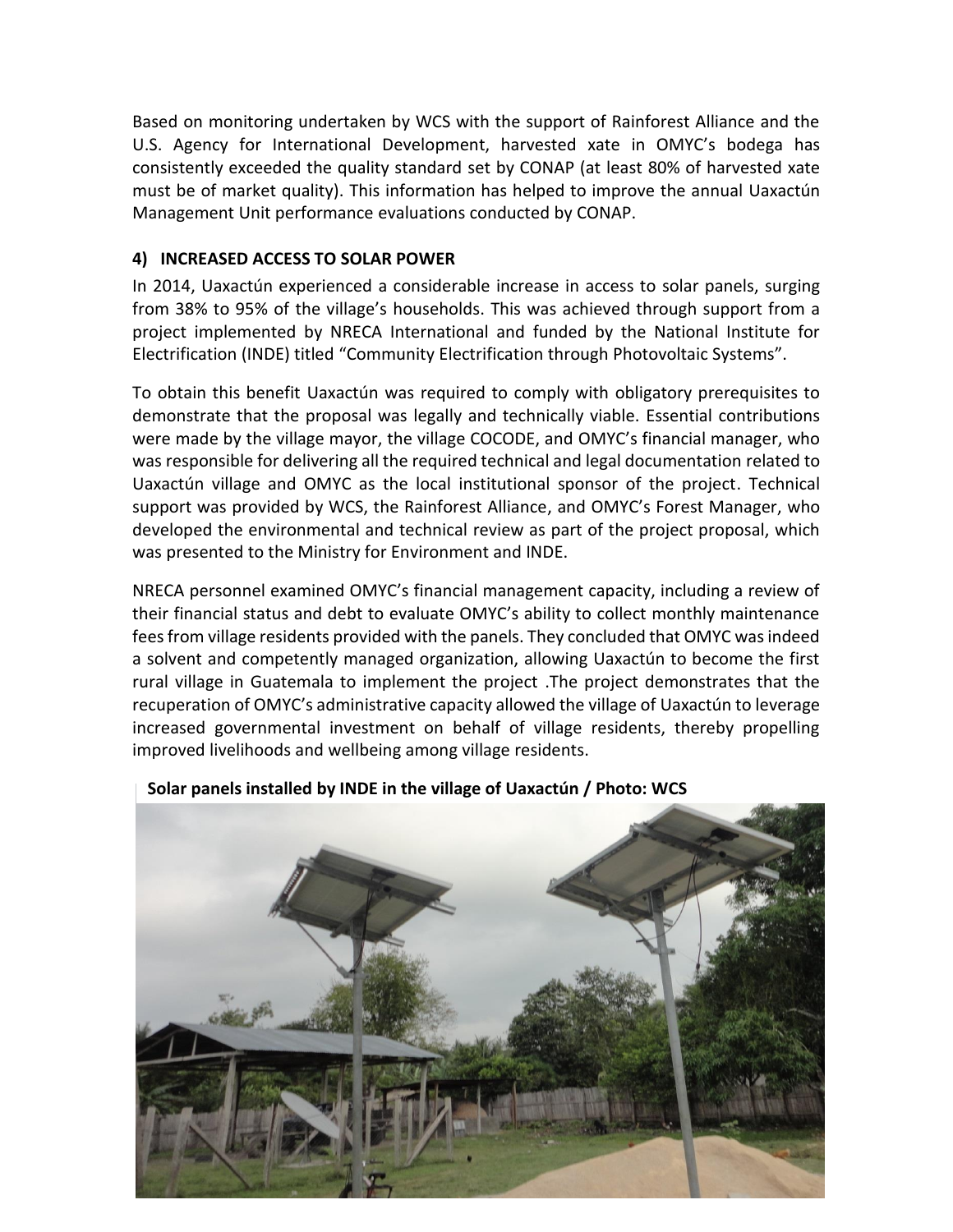Based on monitoring undertaken by WCS with the support of Rainforest Alliance and the U.S. Agency for International Development, harvested xate in OMYC's bodega has consistently exceeded the quality standard set by CONAP (at least 80% of harvested xate must be of market quality). This information has helped to improve the annual Uaxactún Management Unit performance evaluations conducted by CONAP.

## **4) INCREASED ACCESS TO SOLAR POWER**

In 2014, Uaxactún experienced a considerable increase in access to solar panels, surging from 38% to 95% of the village's households. This was achieved through support from a project implemented by NRECA International and funded by the National Institute for Electrification (INDE) titled "Community Electrification through Photovoltaic Systems".

To obtain this benefit Uaxactún was required to comply with obligatory prerequisites to demonstrate that the proposal was legally and technically viable. Essential contributions were made by the village mayor, the village COCODE, and OMYC's financial manager, who was responsible for delivering all the required technical and legal documentation related to Uaxactún village and OMYC as the local institutional sponsor of the project. Technical support was provided by WCS, the Rainforest Alliance, and OMYC's Forest Manager, who developed the environmental and technical review as part of the project proposal, which was presented to the Ministry for Environment and INDE.

NRECA personnel examined OMYC's financial management capacity, including a review of their financial status and debt to evaluate OMYC's ability to collect monthly maintenance fees from village residents provided with the panels. They concluded that OMYC was indeed a solvent and competently managed organization, allowing Uaxactún to become the first rural village in Guatemala to implement the project .The project demonstrates that the recuperation of OMYC's administrative capacity allowed the village of Uaxactún to leverage increased governmental investment on behalf of village residents, thereby propelling improved livelihoods and wellbeing among village residents.



## **Solar panels installed by INDE in the village of Uaxactún / Photo: WCS**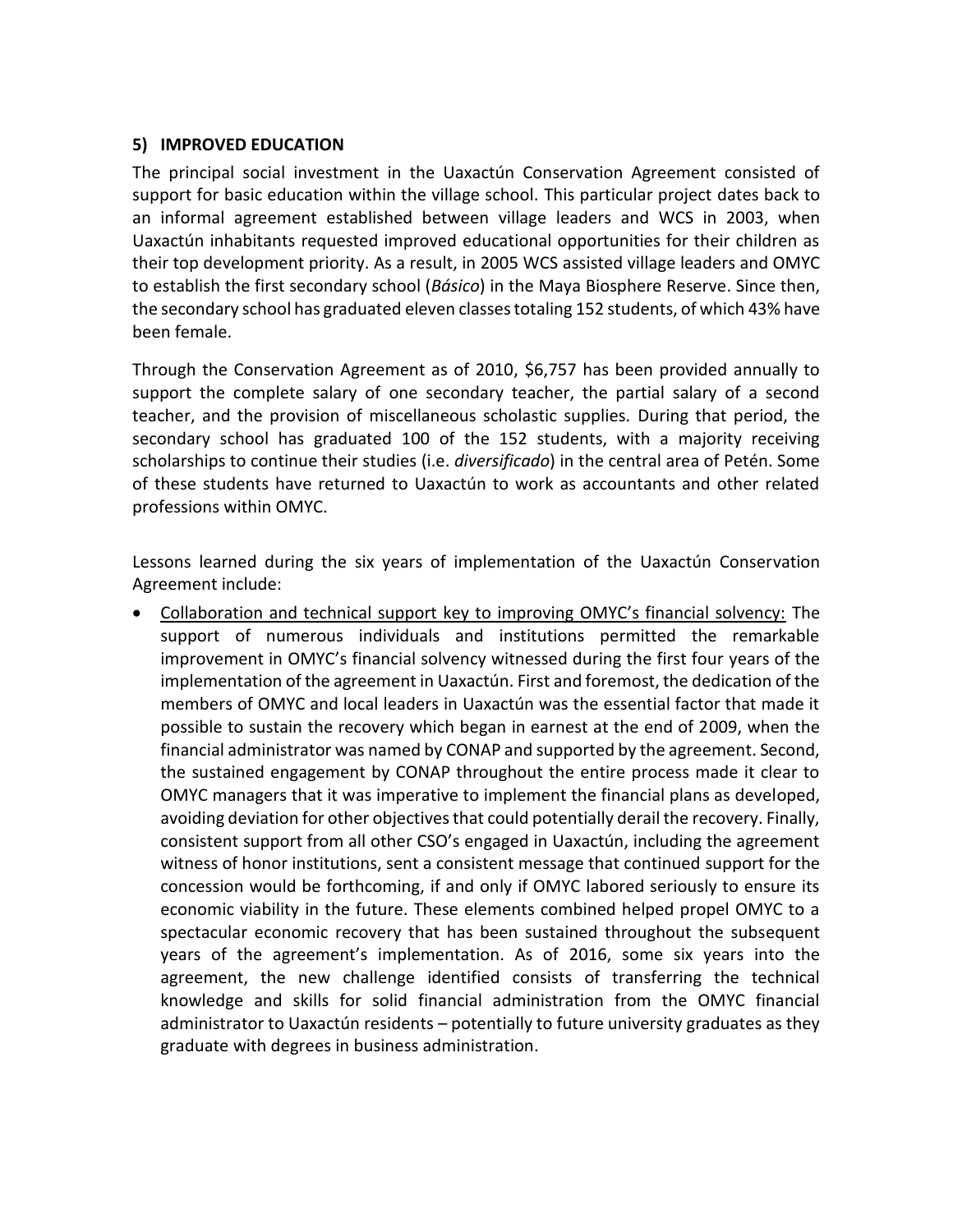#### **5) IMPROVED EDUCATION**

The principal social investment in the Uaxactún Conservation Agreement consisted of support for basic education within the village school. This particular project dates back to an informal agreement established between village leaders and WCS in 2003, when Uaxactún inhabitants requested improved educational opportunities for their children as their top development priority. As a result, in 2005 WCS assisted village leaders and OMYC to establish the first secondary school (*Básico*) in the Maya Biosphere Reserve. Since then, the secondary school has graduated eleven classes totaling 152 students, of which 43% have been female.

Through the Conservation Agreement as of 2010, \$6,757 has been provided annually to support the complete salary of one secondary teacher, the partial salary of a second teacher, and the provision of miscellaneous scholastic supplies. During that period, the secondary school has graduated 100 of the 152 students, with a majority receiving scholarships to continue their studies (i.e. *diversificado*) in the central area of Petén. Some of these students have returned to Uaxactún to work as accountants and other related professions within OMYC.

Lessons learned during the six years of implementation of the Uaxactún Conservation Agreement include:

 Collaboration and technical support key to improving OMYC's financial solvency: The support of numerous individuals and institutions permitted the remarkable improvement in OMYC's financial solvency witnessed during the first four years of the implementation of the agreement in Uaxactún. First and foremost, the dedication of the members of OMYC and local leaders in Uaxactún was the essential factor that made it possible to sustain the recovery which began in earnest at the end of 2009, when the financial administrator was named by CONAP and supported by the agreement. Second, the sustained engagement by CONAP throughout the entire process made it clear to OMYC managers that it was imperative to implement the financial plans as developed, avoiding deviation for other objectives that could potentially derail the recovery. Finally, consistent support from all other CSO's engaged in Uaxactún, including the agreement witness of honor institutions, sent a consistent message that continued support for the concession would be forthcoming, if and only if OMYC labored seriously to ensure its economic viability in the future. These elements combined helped propel OMYC to a spectacular economic recovery that has been sustained throughout the subsequent years of the agreement's implementation. As of 2016, some six years into the agreement, the new challenge identified consists of transferring the technical knowledge and skills for solid financial administration from the OMYC financial administrator to Uaxactún residents – potentially to future university graduates as they graduate with degrees in business administration.